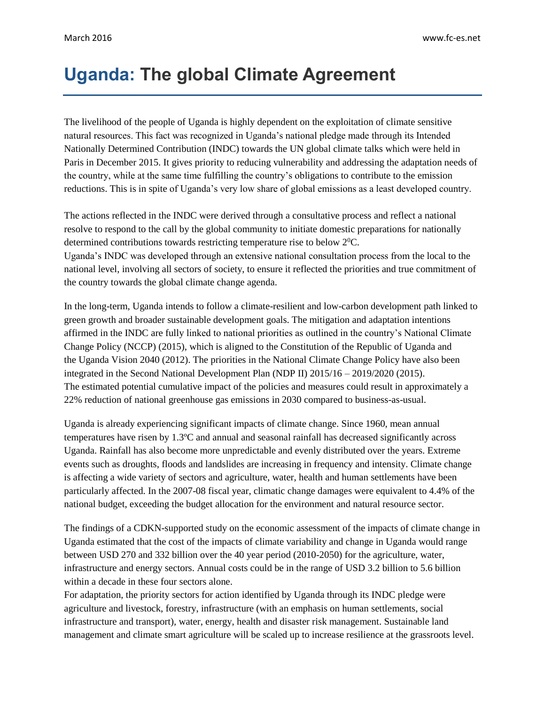## **Uganda: The global Climate Agreement**

The livelihood of the people of Uganda is highly dependent on the exploitation of climate sensitive natural resources. This fact was recognized in Uganda's national pledge made through its Intended Nationally Determined Contribution (INDC) towards the UN global climate talks which were held in Paris in December 2015. It gives priority to reducing vulnerability and addressing the adaptation needs of the country, while at the same time fulfilling the country's obligations to contribute to the emission reductions. This is in spite of Uganda's very low share of global emissions as a least developed country.

The actions reflected in the INDC were derived through a consultative process and reflect a national resolve to respond to the call by the global community to initiate domestic preparations for nationally determined contributions towards restricting temperature rise to below  $2^{0}C$ . Uganda's INDC was developed through an extensive national consultation process from the local to the national level, involving all sectors of society, to ensure it reflected the priorities and true commitment of the country towards the global climate change agenda.

In the long-term, Uganda intends to follow a climate-resilient and low-carbon development path linked to green growth and broader sustainable development goals. The mitigation and adaptation intentions affirmed in the INDC are fully linked to national priorities as outlined in the country's National Climate Change Policy (NCCP) (2015), which is aligned to the Constitution of the Republic of Uganda and the Uganda Vision 2040 (2012). The priorities in the National Climate Change Policy have also been integrated in the Second National Development Plan (NDP II) 2015/16 – 2019/2020 (2015). The estimated potential cumulative impact of the policies and measures could result in approximately a 22% reduction of national greenhouse gas emissions in 2030 compared to business-as-usual.

Uganda is already experiencing significant impacts of climate change. Since 1960, mean annual temperatures have risen by 1.3ºC and annual and seasonal rainfall has decreased significantly across Uganda. Rainfall has also become more unpredictable and evenly distributed over the years. Extreme events such as droughts, floods and landslides are increasing in frequency and intensity. Climate change is affecting a wide variety of sectors and agriculture, water, health and human settlements have been particularly affected. In the 2007-08 fiscal year, climatic change damages were equivalent to 4.4% of the national budget, exceeding the budget allocation for the environment and natural resource sector.

The findings of a CDKN-supported study on the economic assessment of the impacts of climate change in Uganda estimated that the cost of the impacts of climate variability and change in Uganda would range between USD 270 and 332 billion over the 40 year period (2010-2050) for the agriculture, water, infrastructure and energy sectors. Annual costs could be in the range of USD 3.2 billion to 5.6 billion within a decade in these four sectors alone.

For adaptation, the priority sectors for action identified by Uganda through its INDC pledge were agriculture and livestock, forestry, infrastructure (with an emphasis on human settlements, social infrastructure and transport), water, energy, health and disaster risk management. Sustainable land management and climate smart agriculture will be scaled up to increase resilience at the grassroots level.